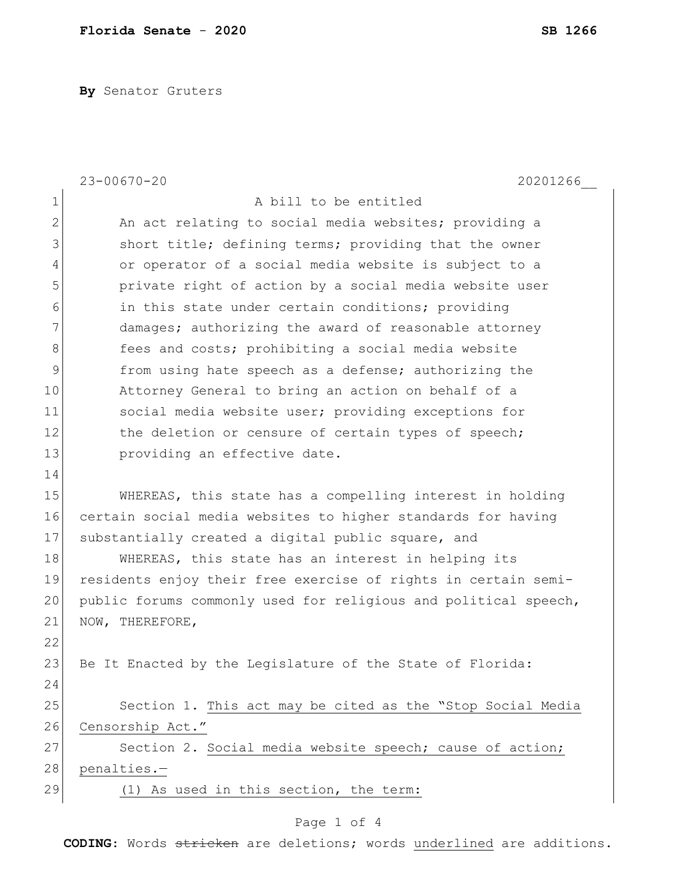**By** Senator Gruters

|                | $23 - 00670 - 20$<br>20201266                                   |
|----------------|-----------------------------------------------------------------|
| 1              | A bill to be entitled                                           |
| $\mathbf{2}$   | An act relating to social media websites; providing a           |
| 3              | short title; defining terms; providing that the owner           |
| $\overline{4}$ | or operator of a social media website is subject to a           |
| 5              | private right of action by a social media website user          |
| 6              | in this state under certain conditions; providing               |
| 7              | damages; authorizing the award of reasonable attorney           |
| 8              | fees and costs; prohibiting a social media website              |
| 9              | from using hate speech as a defense; authorizing the            |
| 10             | Attorney General to bring an action on behalf of a              |
| 11             | social media website user; providing exceptions for             |
| 12             | the deletion or censure of certain types of speech;             |
| 13             | providing an effective date.                                    |
| 14             |                                                                 |
| 15             | WHEREAS, this state has a compelling interest in holding        |
| 16             | certain social media websites to higher standards for having    |
| 17             | substantially created a digital public square, and              |
| 18             | WHEREAS, this state has an interest in helping its              |
| 19             | residents enjoy their free exercise of rights in certain semi-  |
| 20             | public forums commonly used for religious and political speech, |
| 21             | NOW, THEREFORE,                                                 |
| 22             |                                                                 |
| 23             | Be It Enacted by the Legislature of the State of Florida:       |
| 24             |                                                                 |
| 25             | Section 1. This act may be cited as the "Stop Social Media      |
| 26             | Censorship Act."                                                |
| 27             | Section 2. Social media website speech; cause of action;        |
| 28             | penalties.-                                                     |
| 29             | (1) As used in this section, the term:                          |
|                |                                                                 |

## Page 1 of 4

**CODING**: Words stricken are deletions; words underlined are additions.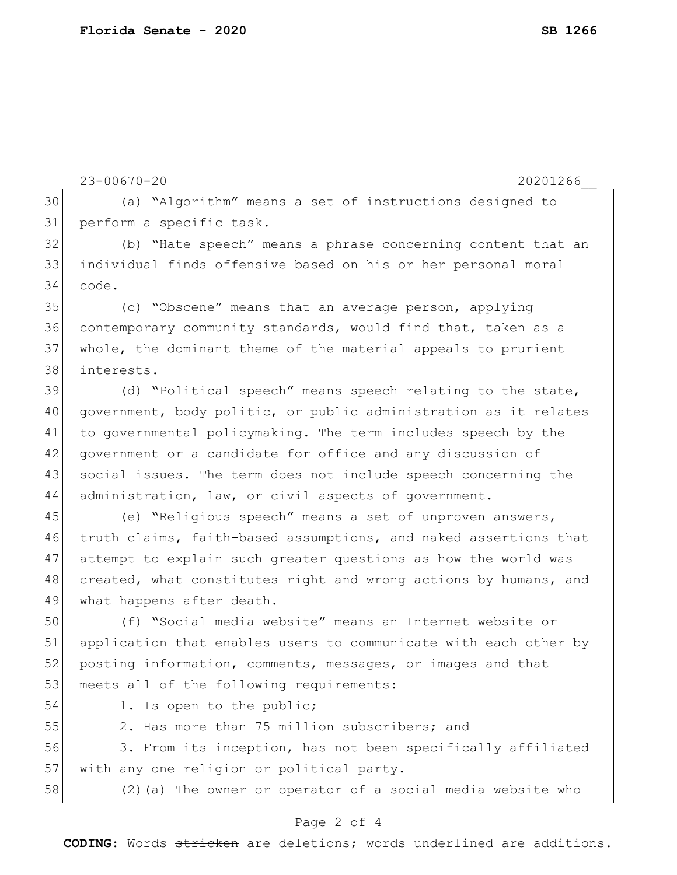|    | $23 - 00670 - 20$<br>20201266                                    |
|----|------------------------------------------------------------------|
| 30 | (a) "Algorithm" means a set of instructions designed to          |
| 31 | perform a specific task.                                         |
| 32 | (b) "Hate speech" means a phrase concerning content that an      |
| 33 | individual finds offensive based on his or her personal moral    |
| 34 | code.                                                            |
| 35 | (c) "Obscene" means that an average person, applying             |
| 36 | contemporary community standards, would find that, taken as a    |
| 37 | whole, the dominant theme of the material appeals to prurient    |
| 38 | interests.                                                       |
| 39 | (d) "Political speech" means speech relating to the state,       |
| 40 | government, body politic, or public administration as it relates |
| 41 | to governmental policymaking. The term includes speech by the    |
| 42 | government or a candidate for office and any discussion of       |
| 43 | social issues. The term does not include speech concerning the   |
| 44 | administration, law, or civil aspects of government.             |
| 45 | (e) "Religious speech" means a set of unproven answers,          |
| 46 | truth claims, faith-based assumptions, and naked assertions that |
| 47 | attempt to explain such greater questions as how the world was   |
| 48 | created, what constitutes right and wrong actions by humans, and |
| 49 | what happens after death.                                        |
| 50 | (f) "Social media website" means an Internet website or          |
| 51 | application that enables users to communicate with each other by |
| 52 | posting information, comments, messages, or images and that      |
| 53 | meets all of the following requirements:                         |
| 54 | 1. Is open to the public;                                        |
| 55 | 2. Has more than 75 million subscribers; and                     |
| 56 | 3. From its inception, has not been specifically affiliated      |
| 57 | with any one religion or political party.                        |
| 58 | (2) (a) The owner or operator of a social media website who      |

## Page 2 of 4

**CODING**: Words stricken are deletions; words underlined are additions.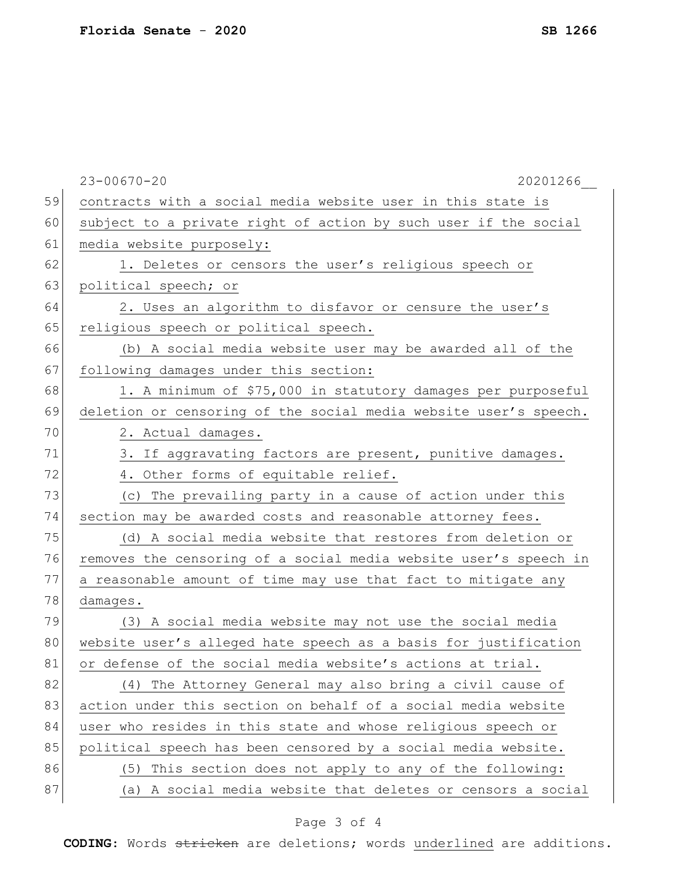|    | $23 - 00670 - 20$<br>20201266                                    |
|----|------------------------------------------------------------------|
| 59 | contracts with a social media website user in this state is      |
| 60 | subject to a private right of action by such user if the social  |
| 61 | media website purposely:                                         |
| 62 | 1. Deletes or censors the user's religious speech or             |
| 63 | political speech; or                                             |
| 64 | 2. Uses an algorithm to disfavor or censure the user's           |
| 65 | religious speech or political speech.                            |
| 66 | (b) A social media website user may be awarded all of the        |
| 67 | following damages under this section:                            |
| 68 | 1. A minimum of \$75,000 in statutory damages per purposeful     |
| 69 | deletion or censoring of the social media website user's speech. |
| 70 | 2. Actual damages.                                               |
| 71 | 3. If aggravating factors are present, punitive damages.         |
| 72 | 4. Other forms of equitable relief.                              |
| 73 | (c) The prevailing party in a cause of action under this         |
| 74 | section may be awarded costs and reasonable attorney fees.       |
| 75 | (d) A social media website that restores from deletion or        |
| 76 | removes the censoring of a social media website user's speech in |
| 77 | a reasonable amount of time may use that fact to mitigate any    |
| 78 | damages.                                                         |
| 79 | (3) A social media website may not use the social media          |
| 80 | website user's alleged hate speech as a basis for justification  |
| 81 | or defense of the social media website's actions at trial.       |
| 82 | (4) The Attorney General may also bring a civil cause of         |
| 83 | action under this section on behalf of a social media website    |
| 84 | user who resides in this state and whose religious speech or     |
| 85 | political speech has been censored by a social media website.    |
| 86 | This section does not apply to any of the following:<br>(5)      |
| 87 | A social media website that deletes or censors a social<br>(a)   |
|    |                                                                  |

## Page 3 of 4

**CODING**: Words stricken are deletions; words underlined are additions.